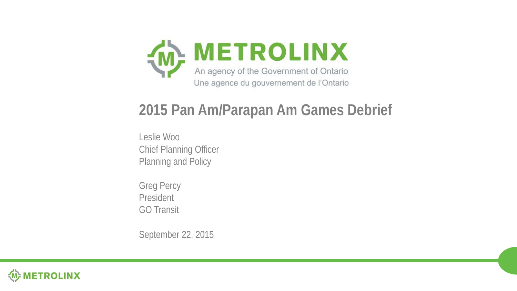

#### **2015 Pan Am/Parapan Am Games Debrief**

Leslie Woo Chief Planning Officer Planning and Policy

Greg Percy President GO Transit

September 22, 2015

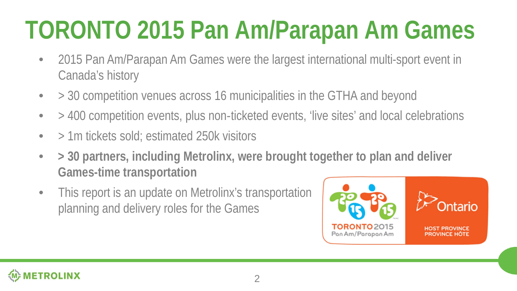## **TORONTO 2015 Pan Am/Parapan Am Games**

- 2015 Pan Am/Parapan Am Games were the largest international multi-sport event in Canada's history
- > 30 competition venues across 16 municipalities in the GTHA and beyond
- > 400 competition events, plus non-ticketed events, 'live sites' and local celebrations
- $\bullet$  > 1m tickets sold; estimated 250k visitors
- **> 30 partners, including Metrolinx, were brought together to plan and deliver Games-time transportation**
- This report is an update on Metrolinx's transportation planning and delivery roles for the Games



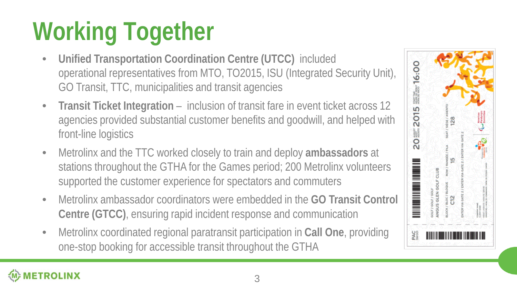# **Working Together**

- **Unified Transportation Coordination Centre (UTCC)** included operational representatives from MTO, TO2015, ISU (Integrated Security Unit), GO Transit, TTC, municipalities and transit agencies
- **Transit Ticket Integration**  inclusion of transit fare in event ticket across 12 agencies provided substantial customer benefits and goodwill, and helped with front-line logistics
- Metrolinx and the TTC worked closely to train and deploy **ambassadors** at stations throughout the GTHA for the Games period; 200 Metrolinx volunteers supported the customer experience for spectators and commuters
- Metrolinx ambassador coordinators were embedded in the **GO Transit Control Centre (GTCC)**, ensuring rapid incident response and communication
- Metrolinx coordinated regional paratransit participation in **Call One**, providing one-stop booking for accessible transit throughout the GTHA

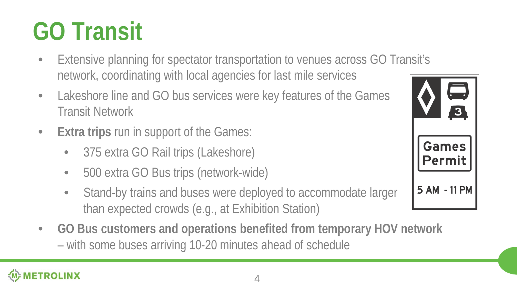#### 4

### **GO Transit**

- Extensive planning for spectator transportation to venues across GO Transit's network, coordinating with local agencies for last mile services
- Lakeshore line and GO bus services were key features of the Games Transit Network
- **Extra trips** run in support of the Games:
	- 375 extra GO Rail trips (Lakeshore)
	- 500 extra GO Bus trips (network-wide)
	- Stand-by trains and buses were deployed to accommodate larger than expected crowds (e.g., at Exhibition Station)
- **GO Bus customers and operations benefited from temporary HOV network**  – with some buses arriving 10-20 minutes ahead of schedule

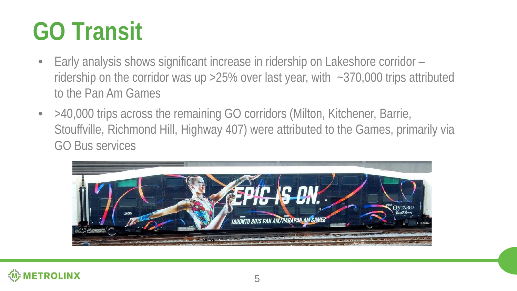### **GO Transit**

- Early analysis shows significant increase in ridership on Lakeshore corridor ridership on the corridor was up >25% over last year, with ~370,000 trips attributed to the Pan Am Games
- >40,000 trips across the remaining GO corridors (Milton, Kitchener, Barrie, Stouffville, Richmond Hill, Highway 407) were attributed to the Games, primarily via GO Bus services



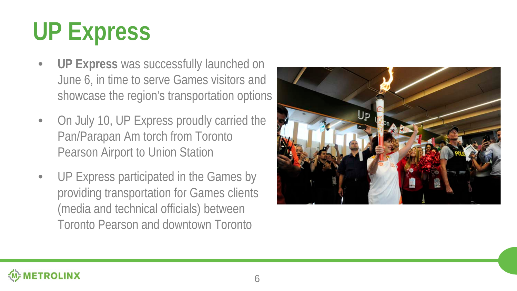# **UP Express**

- **UP Express** was successfully launched on June 6, in time to serve Games visitors and showcase the region's transportation options
- On July 10, UP Express proudly carried the Pan/Parapan Am torch from Toronto Pearson Airport to Union Station
- UP Express participated in the Games by providing transportation for Games clients (media and technical officials) between Toronto Pearson and downtown Toronto

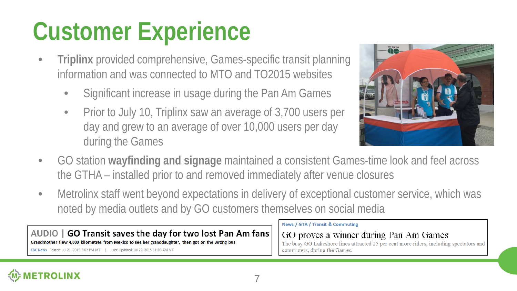## **Customer Experience**

- **Triplinx** provided comprehensive, Games-specific transit planning information and was connected to MTO and TO2015 websites
	- Significant increase in usage during the Pan Am Games
	- Prior to July 10, Triplinx saw an average of 3,700 users per day and grew to an average of over 10,000 users per day during the Games



- GO station **wayfinding and signage** maintained a consistent Games-time look and feel across the GTHA – installed prior to and removed immediately after venue closures
- Metrolinx staff went beyond expectations in delivery of exceptional customer service, which was noted by media outlets and by GO customers themselves on social media

#### AUDIO | GO Transit saves the day for two lost Pan Am fans

Grandmother flew 4,000 kilometres from Mexico to see her granddaughter, then got on the wrong bus

CBC News Posted: Jul 21, 2015 5:02 PM MT | Last Updated: Jul 22, 2015 11:26 AM MT

#### News / GTA / Transit & Commuting

#### GO proves a winner during Pan Am Games

The busy GO Lakeshore lines attracted 25 per cent more riders, including spectators and commuters, during the Games.

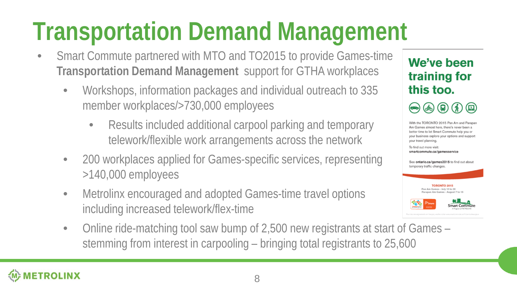## **Transportation Demand Management**

- Smart Commute partnered with MTO and TO2015 to provide Games-time **Transportation Demand Management** support for GTHA workplaces
	- Workshops, information packages and individual outreach to 335 member workplaces/>730,000 employees
		- Results included additional carpool parking and temporary telework/flexible work arrangements across the network
	- 200 workplaces applied for Games-specific services, representing >140,000 employees
	- Metrolinx encouraged and adopted Games-time travel options including increased telework/flex-time
	- Online ride-matching tool saw bump of 2,500 new registrants at start of Games stemming from interest in carpooling – bringing total registrants to 25,600

We've been training for this too.

 $\circledast$  (a) (a)  $\circledast$ 

With the TORONTO 2015 Pan Am and Parapan Am Games almost here, there's never been a better time to let Smart Commute help you or your business explore your options and support your travel planning.

To find out more visit: smartcommute.ca/gamesservice

See ontario.ca/games2015 to find out about temporary traffic changes.



**ETROLINX**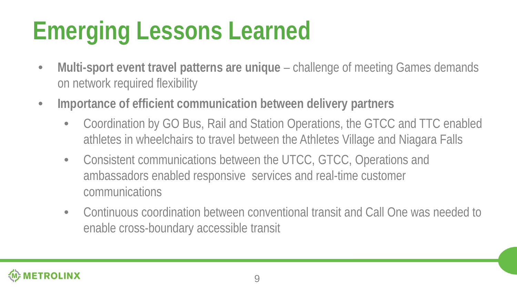# **Emerging Lessons Learned**

- Multi-sport event travel patterns are unique challenge of meeting Games demands on network required flexibility
- **Importance of efficient communication between delivery partners**
	- Coordination by GO Bus, Rail and Station Operations, the GTCC and TTC enabled athletes in wheelchairs to travel between the Athletes Village and Niagara Falls
	- Consistent communications between the UTCC, GTCC, Operations and ambassadors enabled responsive services and real-time customer communications
	- Continuous coordination between conventional transit and Call One was needed to enable cross-boundary accessible transit

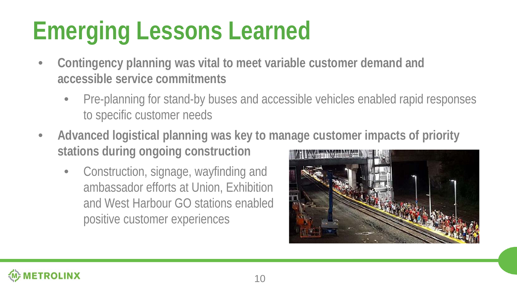# **Emerging Lessons Learned**

- **Contingency planning was vital to meet variable customer demand and accessible service commitments**
	- Pre-planning for stand-by buses and accessible vehicles enabled rapid responses to specific customer needs
- **Advanced logistical planning was key to manage customer impacts of priority stations during ongoing construction**
	- Construction, signage, wayfinding and ambassador efforts at Union, Exhibition and West Harbour GO stations enabled positive customer experiences

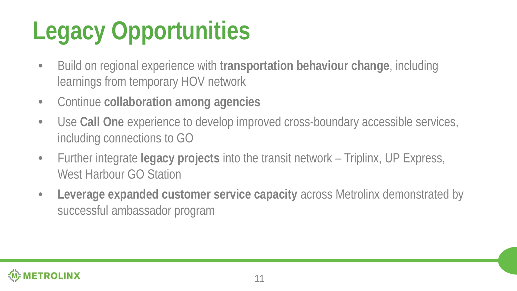# **Legacy Opportunities**

- Build on regional experience with **transportation behaviour change**, including learnings from temporary HOV network
- Continue **collaboration among agencies**
- Use **Call One** experience to develop improved cross-boundary accessible services, including connections to GO
- Further integrate **legacy projects** into the transit network Triplinx, UP Express, West Harbour GO Station
- **Leverage expanded customer service capacity** across Metrolinx demonstrated by successful ambassador program